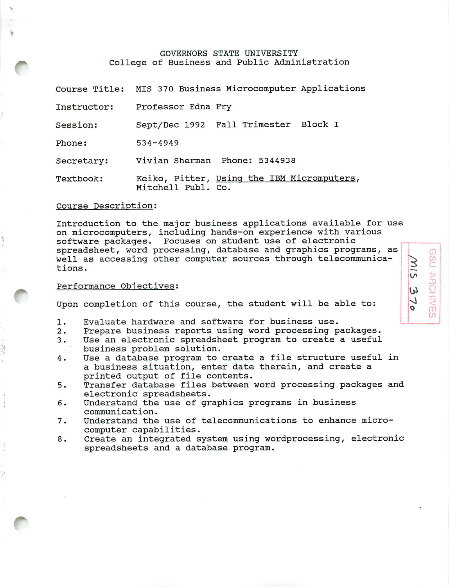### GOVERNORS STATE UNIVERSITY College of Business and Public Administration

Course Title MIS 370 Business Microcomputer Applications

Instructor: Professor Edna Fry

Session: Sept/Dec 1992 Fall Trimester Block I

Phone: 534-4949

Secretary: Vivian Sherman Phone: 5344938

Textbook: Keiko, Pitter, Using the IBM Micromputers, Mitchell Publ. Co.

#### Course Description:

Introduction to the major business applications available for us< on microcomputers, including hands-on experience with various software packages. Focuses on student use of electronic spreadsheet, word processing, database and graphics programs, as well as accessing other computer sources through telecommunica tions.

### Performance Objectives:

*r*

Upon completion of this course, the student will be able to:

- 1. Evaluate hardware and software for business use.
- 2. Prepare business reports using word processing packages.
- 3. Use an electronic spreadsheet program to create a useful business problem solution.
- 4. Use a database program to create a file structure useful in a business situation, enter date therein, and create a printed output of file contents.
- 5. Transfer database files between word processing packages and electronic spreadsheets.
- 6. Understand the use of graphics programs in business communication.
- 7. Understand the use of telecommunications to enhance micro computer capabilities.
- 8. Create an integrated system using wordprocessing, electronic spreadsheets and a database program.

*k v^ u ^ VJ m 0)*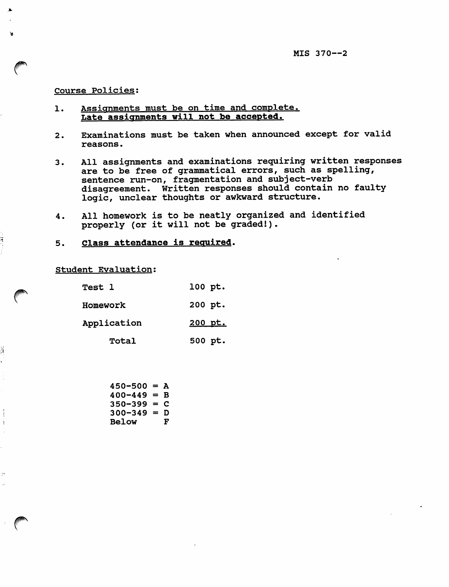## Course Policies;

χ

ii<br>i

Å

Ť ÷

ž,

- 1. Assignments must be on time and complete. Late assignments will not be accepted.
- 2. Examinations must be taken when announced except for valid reasons.
- 3. All assignments and examinations requiring written responses are to be free of grammatical errors, such as spelling, sentence run-on, fragmentation and subject-verb disagreement. Written responses should contain no faulty logic, unclear thoughts or awkward structure.
- 4. All homework is to be neatly organized and identified properly (or it will not be graded!).
- 5. Class attendance is required.

Student Evaluation;

| <b>Test 1</b> | 100 pt. |
|---------------|---------|
| Homework      | 200 pt. |
| Application   | 200 pt. |
| Total         | 500 pt. |

 $450 - 500 = A$  $400 - 449 = B$  $350 - 399 = C$  $300-349 = D$ <br>Below F **Below**